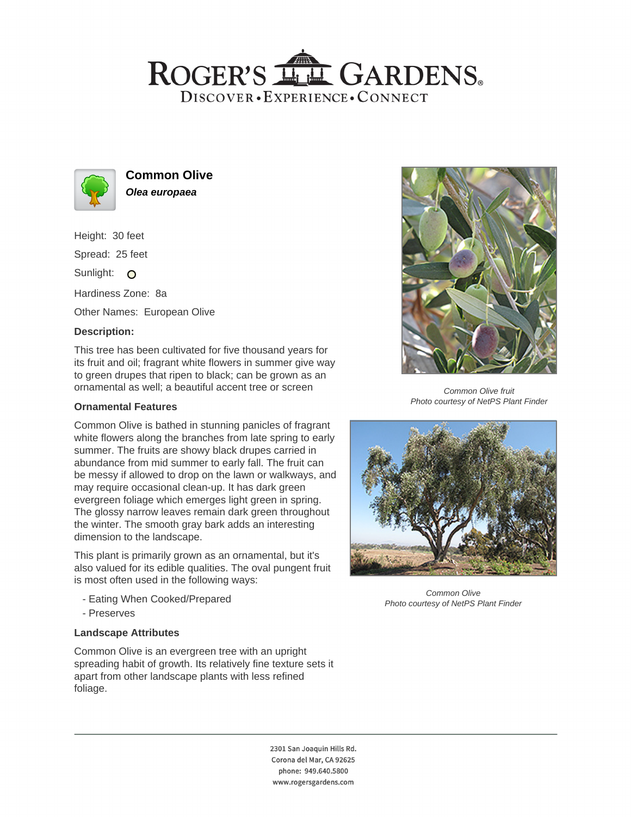# ROGER'S LL GARDENS. DISCOVER · EXPERIENCE · CONNECT



**Common Olive Olea europaea**

Height: 30 feet Spread: 25 feet Sunlight: O Hardiness Zone: 8a Other Names: European Olive **Description:**

This tree has been cultivated for five thousand years for its fruit and oil; fragrant white flowers in summer give way to green drupes that ripen to black; can be grown as an ornamental as well; a beautiful accent tree or screen

### **Ornamental Features**

Common Olive is bathed in stunning panicles of fragrant white flowers along the branches from late spring to early summer. The fruits are showy black drupes carried in abundance from mid summer to early fall. The fruit can be messy if allowed to drop on the lawn or walkways, and may require occasional clean-up. It has dark green evergreen foliage which emerges light green in spring. The glossy narrow leaves remain dark green throughout the winter. The smooth gray bark adds an interesting dimension to the landscape.

This plant is primarily grown as an ornamental, but it's also valued for its edible qualities. The oval pungent fruit is most often used in the following ways:

- Eating When Cooked/Prepared
- Preserves

### **Landscape Attributes**

Common Olive is an evergreen tree with an upright spreading habit of growth. Its relatively fine texture sets it apart from other landscape plants with less refined foliage.



Common Olive fruit Photo courtesy of NetPS Plant Finder



Common Olive Photo courtesy of NetPS Plant Finder

2301 San Joaquin Hills Rd. Corona del Mar, CA 92625 phone: 949.640.5800 www.rogersgardens.com